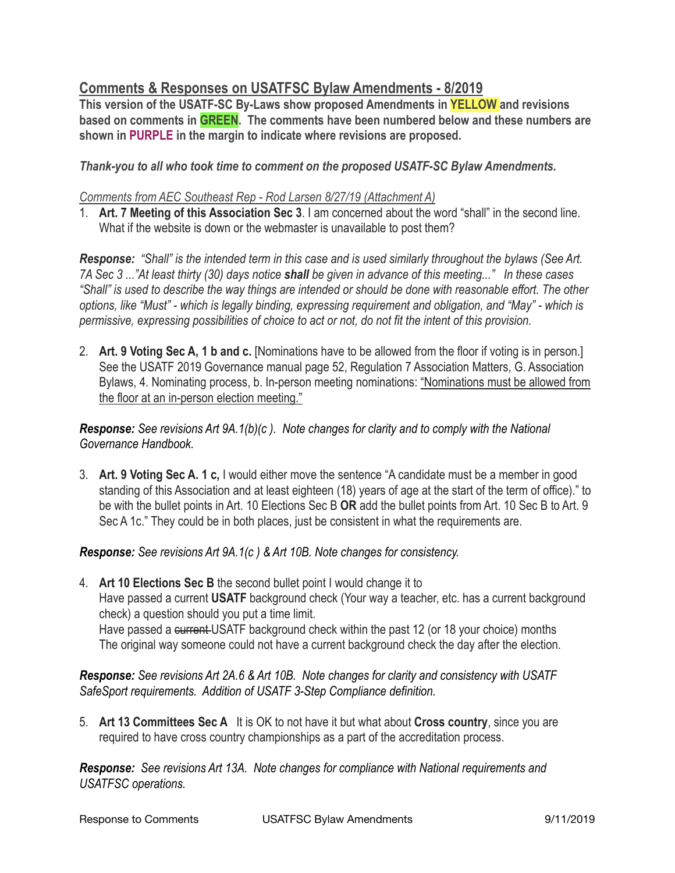## **Comments & Responses on USATFSC Bylaw Amendments - 8/2019**

**This version of the USATF-SC By-Laws show proposed Amendments in YELLOW and revisions based on comments in GREEN. The comments have been numbered below and these numbers are shown in PURPLE in the margin to indicate where revisions are proposed.** 

## *Thank-you to all who took time to comment on the proposed USATF-SC Bylaw Amendments.*

#### *Comments from AEC Southeast Rep - Rod Larsen 8/27/19 (Attachment A)*

1. **Art. 7 Meeting of this Association Sec 3**. I am concerned about the word "shall" in the second line. What if the website is down or the webmaster is unavailable to post them?

*Response: "Shall" is the intended term in this case and is used similarly throughout the bylaws (See Art. 7A Sec 3 ..."At least thirty (30) days notice shall be given in advance of this meeting..." In these cases "Shall" is used to describe the way things are intended or should be done with reasonable effort. The other options, like "Must" - which is legally binding, expressing requirement and obligation, and "May" - which is permissive, expressing possibilities of choice to act or not, do not fit the intent of this provision.* 

2. **Art. 9 Voting Sec A, 1 b and c.** [Nominations have to be allowed from the floor if voting is in person.] See the USATF 2019 Governance manual page 52, Regulation 7 Association Matters, G. Association Bylaws, 4. Nominating process, b. In-person meeting nominations: "Nominations must be allowed from the floor at an in-person election meeting."

*Response: See revisions Art 9A.1(b)(c ). Note changes for clarity and to comply with the National Governance Handbook.*

3. **Art. 9 Voting Sec A. 1 c,** I would either move the sentence "A candidate must be a member in good standing of this Association and at least eighteen (18) years of age at the start of the term of office)." to be with the bullet points in Art. 10 Elections Sec B **OR** add the bullet points from Art. 10 Sec B to Art. 9 Sec A 1c." They could be in both places, just be consistent in what the requirements are.

*Response: See revisions Art 9A.1(c ) & Art 10B. Note changes for consistency.*

4. **Art 10 Elections Sec B** the second bullet point I would change it to Have passed a current **USATF** background check (Your way a teacher, etc. has a current background check) a question should you put a time limit. Have passed a current-USATF background check within the past 12 (or 18 your choice) months The original way someone could not have a current background check the day after the election.

*Response: See revisions Art 2A.6 & Art 10B. Note changes for clarity and consistency with USATF SafeSport requirements. Addition of USATF 3-Step Compliance definition.*

5. **Art 13 Committees Sec A** It is OK to not have it but what about **Cross country**, since you are required to have cross country championships as a part of the accreditation process.

*Response: See revisions Art 13A. Note changes for compliance with National requirements and USATFSC operations.*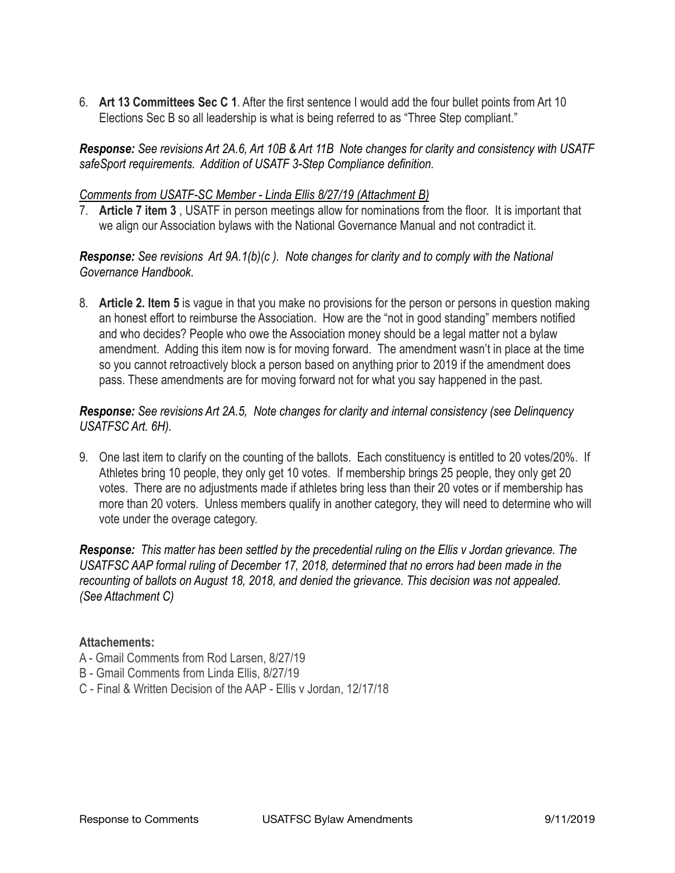6. **Art 13 Committees Sec C 1**. After the first sentence I would add the four bullet points from Art 10 Elections Sec B so all leadership is what is being referred to as "Three Step compliant."

*Response: See revisions Art 2A.6, Art 10B & Art 11B Note changes for clarity and consistency with USATF safeSport requirements. Addition of USATF 3-Step Compliance definition.*

#### *Comments from USATF-SC Member - Linda Ellis 8/27/19 (Attachment B)*

7. **Article 7 item 3** , USATF in person meetings allow for nominations from the floor. It is important that we align our Association bylaws with the National Governance Manual and not contradict it.

*Response: See revisions Art 9A.1(b)(c ). Note changes for clarity and to comply with the National Governance Handbook.*

8. **Article 2. Item 5** is vague in that you make no provisions for the person or persons in question making an honest effort to reimburse the Association. How are the "not in good standing" members notified and who decides? People who owe the Association money should be a legal matter not a bylaw amendment. Adding this item now is for moving forward. The amendment wasn't in place at the time so you cannot retroactively block a person based on anything prior to 2019 if the amendment does pass. These amendments are for moving forward not for what you say happened in the past.

## *Response: See revisions Art 2A.5, Note changes for clarity and internal consistency (see Delinquency USATFSC Art. 6H).*

9. One last item to clarify on the counting of the ballots. Each constituency is entitled to 20 votes/20%. If Athletes bring 10 people, they only get 10 votes. If membership brings 25 people, they only get 20 votes. There are no adjustments made if athletes bring less than their 20 votes or if membership has more than 20 voters. Unless members qualify in another category, they will need to determine who will vote under the overage category.

*Response: This matter has been settled by the precedential ruling on the Ellis v Jordan grievance. The USATFSC AAP formal ruling of December 17, 2018, determined that no errors had been made in the recounting of ballots on August 18, 2018, and denied the grievance. This decision was not appealed. (See Attachment C)* 

## **Attachements:**

- A Gmail Comments from Rod Larsen, 8/27/19
- B Gmail Comments from Linda Ellis, 8/27/19
- C Final & Written Decision of the AAP Ellis v Jordan, 12/17/18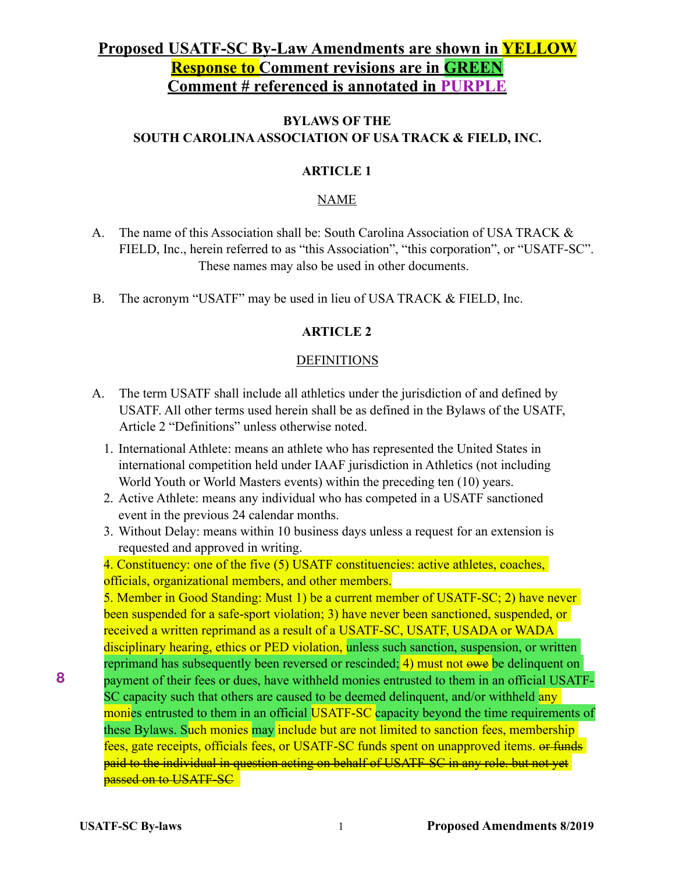# **Proposed USATF-SC By-Law Amendments are shown in YELLOW Response to Comment revisions are in GREEN Comment # referenced is annotated in PURPLE**

## **BYLAWS OF THE SOUTH CAROLINA ASSOCIATION OF USA TRACK & FIELD, INC.**

## **ARTICLE 1**

## NAME

- A. The name of this Association shall be: South Carolina Association of USA TRACK & FIELD, Inc., herein referred to as "this Association", "this corporation", or "USATF-SC". These names may also be used in other documents.
- B. The acronym "USATF" may be used in lieu of USA TRACK & FIELD, Inc.

## **ARTICLE 2**

## **DEFINITIONS**

- A. The term USATF shall include all athletics under the jurisdiction of and defined by USATF. All other terms used herein shall be as defined in the Bylaws of the USATF, Article 2 "Definitions" unless otherwise noted.
	- 1. International Athlete: means an athlete who has represented the United States in international competition held under IAAF jurisdiction in Athletics (not including World Youth or World Masters events) within the preceding ten (10) years.
	- 2. Active Athlete: means any individual who has competed in a USATF sanctioned event in the previous 24 calendar months.
	- 3. Without Delay: means within 10 business days unless a request for an extension is requested and approved in writing.

4. Constituency: one of the five (5) USATF constituencies: active athletes, coaches, officials, organizational members, and other members.

5. Member in Good Standing: Must 1) be a current member of USATF-SC; 2) have never been suspended for a safe-sport violation; 3) have never been sanctioned, suspended, or received a written reprimand as a result of a USATF-SC, USATF, USADA or WADA disciplinary hearing, ethics or PED violation, unless such sanction, suspension, or written reprimand has subsequently been reversed or rescinded; 4) must not owe be delinquent on payment of their fees or dues, have withheld monies entrusted to them in an official USATF-SC capacity such that others are caused to be deemed delinquent, and/or withheld any monies entrusted to them in an official USATF-SC capacity beyond the time requirements of these Bylaws. Such monies may include but are not limited to sanction fees, membership fees, gate receipts, officials fees, or USATF-SC funds spent on unapproved items. or funds paid to the individual in question acting on behalf of USATF-SC in any role. but not yet passed on to USATF-SC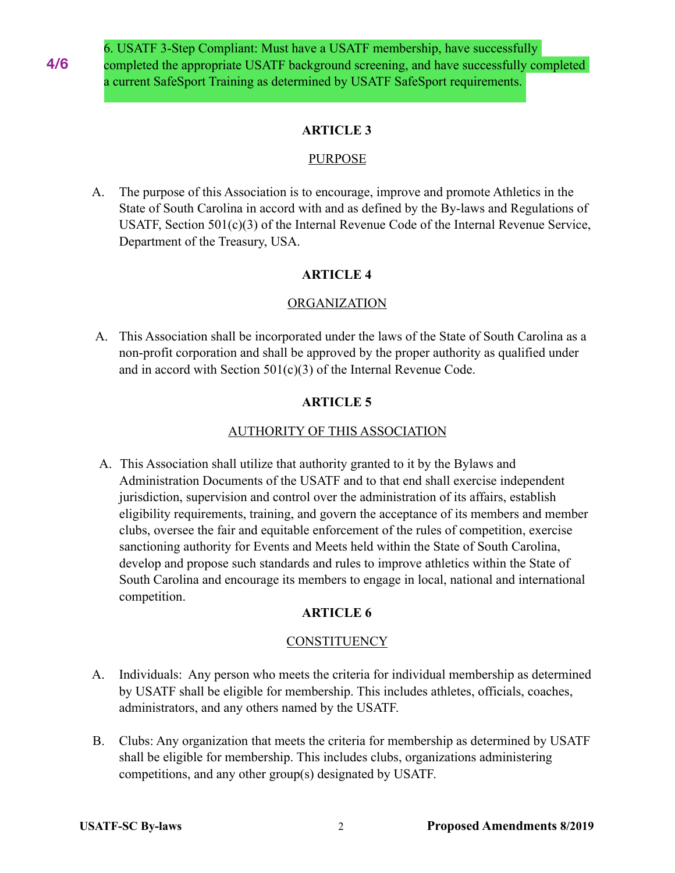6. USATF 3-Step Compliant: Must have a USATF membership, have successfully completed the appropriate USATF background screening, and have successfully completed a current SafeSport Training as determined by USATF SafeSport requirements.

## **ARTICLE 3**

## PURPOSE

 A. The purpose of this Association is to encourage, improve and promote Athletics in the State of South Carolina in accord with and as defined by the By-laws and Regulations of USATF, Section 501(c)(3) of the Internal Revenue Code of the Internal Revenue Service, Department of the Treasury, USA.

## **ARTICLE 4**

## **ORGANIZATION**

 A. This Association shall be incorporated under the laws of the State of South Carolina as a non-profit corporation and shall be approved by the proper authority as qualified under and in accord with Section 501(c)(3) of the Internal Revenue Code.

## **ARTICLE 5**

## AUTHORITY OF THIS ASSOCIATION

A. This Association shall utilize that authority granted to it by the Bylaws and Administration Documents of the USATF and to that end shall exercise independent jurisdiction, supervision and control over the administration of its affairs, establish eligibility requirements, training, and govern the acceptance of its members and member clubs, oversee the fair and equitable enforcement of the rules of competition, exercise sanctioning authority for Events and Meets held within the State of South Carolina, develop and propose such standards and rules to improve athletics within the State of South Carolina and encourage its members to engage in local, national and international competition.

## **ARTICLE 6**

## **CONSTITUENCY**

- A. Individuals: Any person who meets the criteria for individual membership as determined by USATF shall be eligible for membership. This includes athletes, officials, coaches, administrators, and any others named by the USATF.
- B. Clubs: Any organization that meets the criteria for membership as determined by USATF shall be eligible for membership. This includes clubs, organizations administering competitions, and any other group(s) designated by USATF.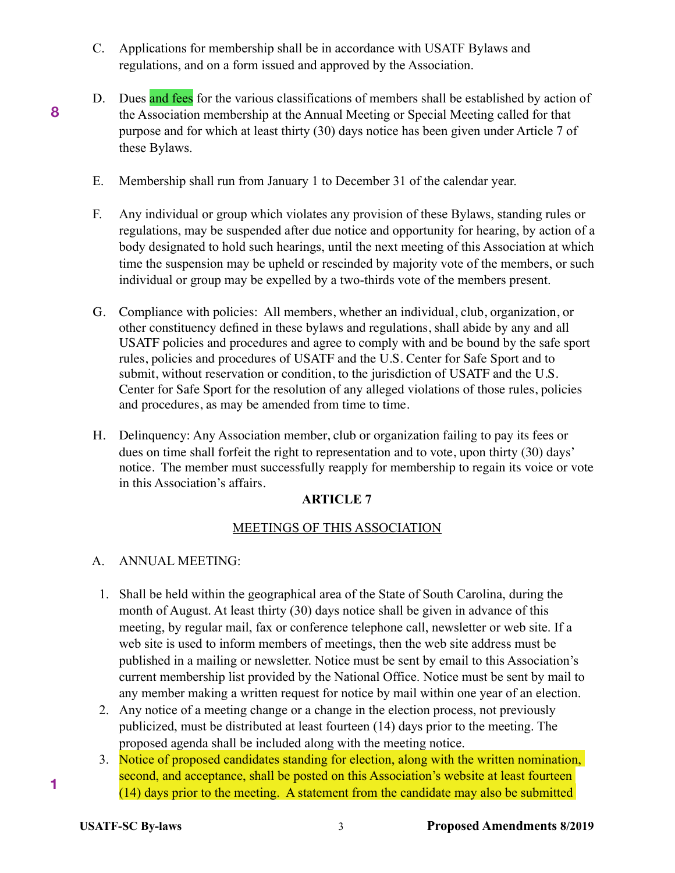- C. Applications for membership shall be in accordance with USATF Bylaws and regulations, and on a form issued and approved by the Association.
- D. Dues and fees for the various classifications of members shall be established by action of the Association membership at the Annual Meeting or Special Meeting called for that purpose and for which at least thirty (30) days notice has been given under Article 7 of these Bylaws.
- E. Membership shall run from January 1 to December 31 of the calendar year.
- F.Any individual or group which violates any provision of these Bylaws, standing rules or regulations, may be suspended after due notice and opportunity for hearing, by action of a body designated to hold such hearings, until the next meeting of this Association at which time the suspension may be upheld or rescinded by majority vote of the members, or such individual or group may be expelled by a two-thirds vote of the members present.
- G. Compliance with policies: All members, whether an individual, club, organization, or other constituency defined in these bylaws and regulations, shall abide by any and all USATF policies and procedures and agree to comply with and be bound by the safe sport rules, policies and procedures of USATF and the U.S. Center for Safe Sport and to submit, without reservation or condition, to the jurisdiction of USATF and the U.S. Center for Safe Sport for the resolution of any alleged violations of those rules, policies and procedures, as may be amended from time to time.
- H. Delinquency: Any Association member, club or organization failing to pay its fees or dues on time shall forfeit the right to representation and to vote, upon thirty (30) days' notice. The member must successfully reapply for membership to regain its voice or vote in this Association's affairs.

## MEETINGS OF THIS ASSOCIATION

## A. ANNUAL MEETING:

**8**

- 1. Shall be held within the geographical area of the State of South Carolina, during the month of August. At least thirty (30) days notice shall be given in advance of this meeting, by regular mail, fax or conference telephone call, newsletter or web site. If a web site is used to inform members of meetings, then the web site address must be published in a mailing or newsletter. Notice must be sent by email to this Association's current membership list provided by the National Office. Notice must be sent by mail to any member making a written request for notice by mail within one year of an election.
- 2. Any notice of a meeting change or a change in the election process, not previously publicized, must be distributed at least fourteen (14) days prior to the meeting. The proposed agenda shall be included along with the meeting notice.
- 3. Notice of proposed candidates standing for election, along with the written nomination, second, and acceptance, shall be posted on this Association's website at least fourteen (14) days prior to the meeting. A statement from the candidate may also be submitted

**1**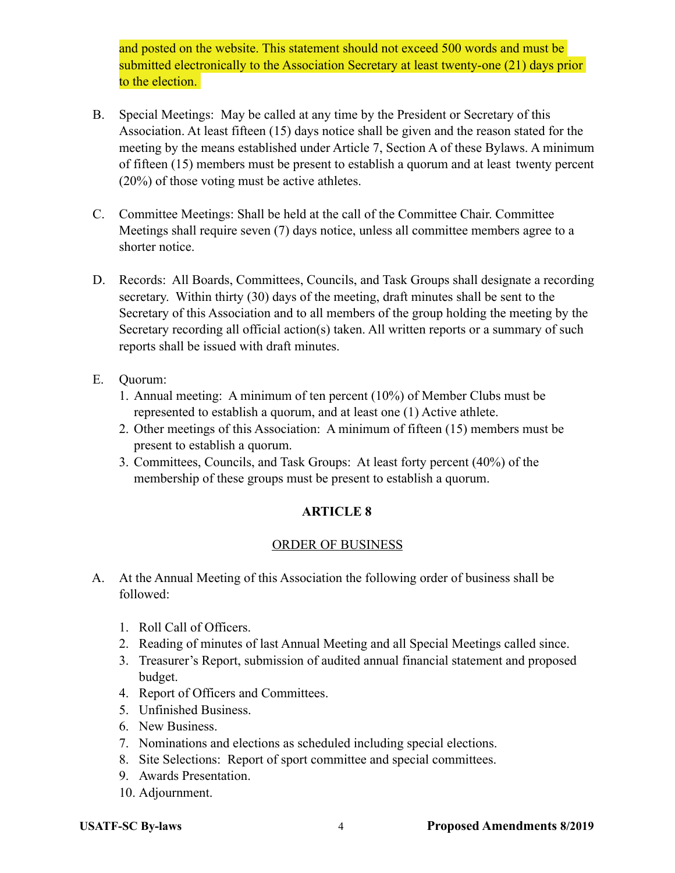and posted on the website. This statement should not exceed 500 words and must be submitted electronically to the Association Secretary at least twenty-one (21) days prior to the election.

- B. Special Meetings: May be called at any time by the President or Secretary of this Association. At least fifteen (15) days notice shall be given and the reason stated for the meeting by the means established under Article 7, Section A of these Bylaws. A minimum of fifteen (15) members must be present to establish a quorum and at least twenty percent (20%) of those voting must be active athletes.
- C. Committee Meetings: Shall be held at the call of the Committee Chair. Committee Meetings shall require seven (7) days notice, unless all committee members agree to a shorter notice.
- D. Records: All Boards, Committees, Councils, and Task Groups shall designate a recording secretary. Within thirty (30) days of the meeting, draft minutes shall be sent to the Secretary of this Association and to all members of the group holding the meeting by the Secretary recording all official action(s) taken. All written reports or a summary of such reports shall be issued with draft minutes.
- E. Quorum:
	- 1. Annual meeting: A minimum of ten percent (10%) of Member Clubs must be represented to establish a quorum, and at least one (1) Active athlete.
	- 2. Other meetings of this Association: A minimum of fifteen (15) members must be present to establish a quorum.
	- 3. Committees, Councils, and Task Groups: At least forty percent (40%) of the membership of these groups must be present to establish a quorum.

## **ARTICLE 8**

## ORDER OF BUSINESS

- A. At the Annual Meeting of this Association the following order of business shall be followed:
	- 1. Roll Call of Officers.
	- 2. Reading of minutes of last Annual Meeting and all Special Meetings called since.
	- 3. Treasurer's Report, submission of audited annual financial statement and proposed budget.
	- 4. Report of Officers and Committees.
	- 5. Unfinished Business.
	- 6. New Business.
	- 7. Nominations and elections as scheduled including special elections.
	- 8. Site Selections: Report of sport committee and special committees.
	- 9. Awards Presentation.
	- 10. Adjournment.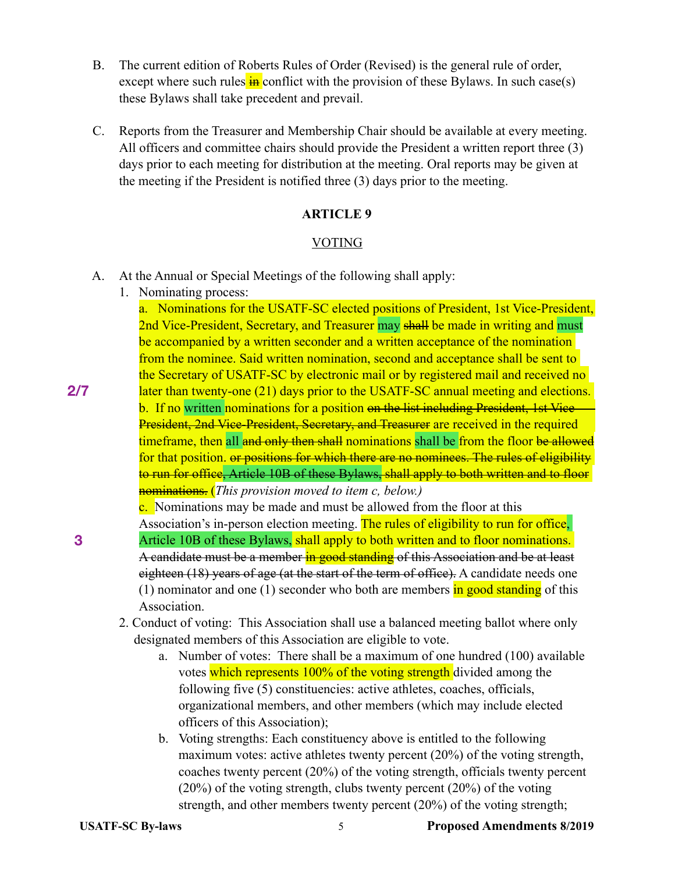- B. The current edition of Roberts Rules of Order (Revised) is the general rule of order, except where such rules  $\frac{1}{10}$  conflict with the provision of these Bylaws. In such case(s) these Bylaws shall take precedent and prevail.
- C. Reports from the Treasurer and Membership Chair should be available at every meeting. All officers and committee chairs should provide the President a written report three (3) days prior to each meeting for distribution at the meeting. Oral reports may be given at the meeting if the President is notified three (3) days prior to the meeting.

### VOTING

- A. At the Annual or Special Meetings of the following shall apply:
	- 1. Nominating process:

**2/7**

**3**

a. Nominations for the USATF-SC elected positions of President, 1st Vice-President, 2nd Vice-President, Secretary, and Treasurer may shall be made in writing and must be accompanied by a written seconder and a written acceptance of the nomination from the nominee. Said written nomination, second and acceptance shall be sent to the Secretary of USATF-SC by electronic mail or by registered mail and received no later than twenty-one (21) days prior to the USATF-SC annual meeting and elections. b. If no written nominations for a position on the list including President, 1st Vice-President, 2nd Vice-President, Secretary, and Treasurer are received in the required timeframe, then all and only then shall nominations shall be from the floor be allowed for that position, or positions for which there are no nominees. The rules of eligibility to run for office, Article 10B of these Bylaws, shall apply to both written and to floor nominations. (*This provision moved to item c, below.)* 

**c.** Nominations may be made and must be allowed from the floor at this

- Association's in-person election meeting. The rules of eligibility to run for office, Article 10B of these Bylaws, shall apply to both written and to floor nominations. A candidate must be a member in good standing of this Association and be at least eighteen (18) years of age (at the start of the term of office). A candidate needs one (1) nominator and one (1) seconder who both are members in good standing of this Association.
	- 2. Conduct of voting: This Association shall use a balanced meeting ballot where only designated members of this Association are eligible to vote.
		- a. Number of votes: There shall be a maximum of one hundred (100) available votes which represents 100% of the voting strength divided among the following five (5) constituencies: active athletes, coaches, officials, organizational members, and other members (which may include elected officers of this Association);
		- b. Voting strengths: Each constituency above is entitled to the following maximum votes: active athletes twenty percent (20%) of the voting strength, coaches twenty percent (20%) of the voting strength, officials twenty percent (20%) of the voting strength, clubs twenty percent (20%) of the voting strength, and other members twenty percent (20%) of the voting strength;

**USATF-SC By-laws** 5 **Proposed Amendments 8/2019**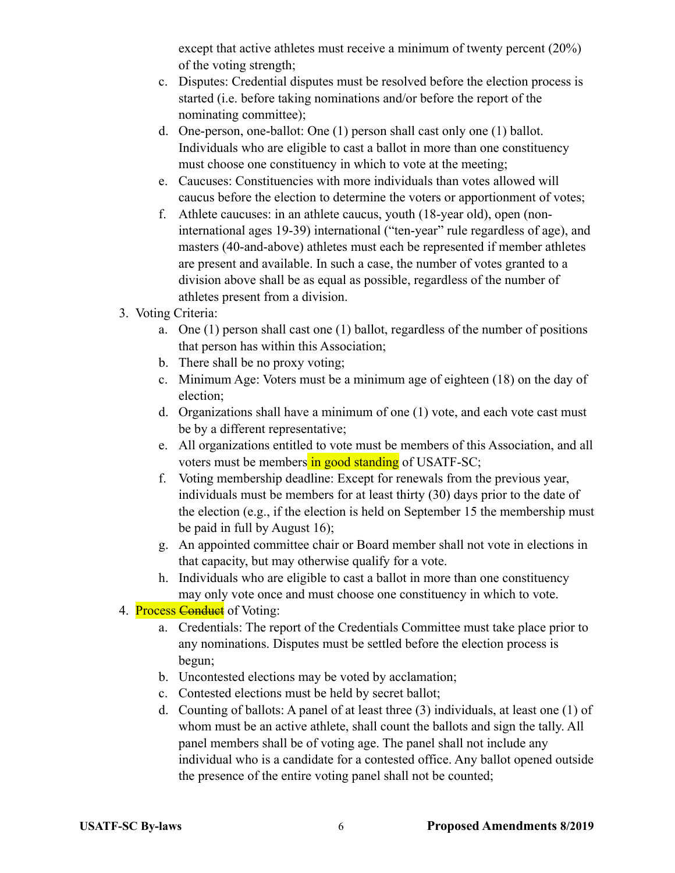except that active athletes must receive a minimum of twenty percent (20%) of the voting strength;

- c. Disputes: Credential disputes must be resolved before the election process is started (i.e. before taking nominations and/or before the report of the nominating committee);
- d. One-person, one-ballot: One (1) person shall cast only one (1) ballot. Individuals who are eligible to cast a ballot in more than one constituency must choose one constituency in which to vote at the meeting;
- e. Caucuses: Constituencies with more individuals than votes allowed will caucus before the election to determine the voters or apportionment of votes;
- f. Athlete caucuses: in an athlete caucus, youth (18-year old), open (noninternational ages 19-39) international ("ten-year" rule regardless of age), and masters (40-and-above) athletes must each be represented if member athletes are present and available. In such a case, the number of votes granted to a division above shall be as equal as possible, regardless of the number of athletes present from a division.
- 3. Voting Criteria:
	- a. One (1) person shall cast one (1) ballot, regardless of the number of positions that person has within this Association;
	- b. There shall be no proxy voting;
	- c. Minimum Age: Voters must be a minimum age of eighteen (18) on the day of election;
	- d. Organizations shall have a minimum of one (1) vote, and each vote cast must be by a different representative;
	- e. All organizations entitled to vote must be members of this Association, and all voters must be members in good standing of USATF-SC;
	- f. Voting membership deadline: Except for renewals from the previous year, individuals must be members for at least thirty (30) days prior to the date of the election (e.g., if the election is held on September 15 the membership must be paid in full by August 16);
	- g. An appointed committee chair or Board member shall not vote in elections in that capacity, but may otherwise qualify for a vote.
	- h. Individuals who are eligible to cast a ballot in more than one constituency may only vote once and must choose one constituency in which to vote.
- 4. Process Conduct of Voting:
	- a. Credentials: The report of the Credentials Committee must take place prior to any nominations. Disputes must be settled before the election process is begun;
	- b. Uncontested elections may be voted by acclamation;
	- c. Contested elections must be held by secret ballot;
	- d. Counting of ballots: A panel of at least three (3) individuals, at least one (1) of whom must be an active athlete, shall count the ballots and sign the tally. All panel members shall be of voting age. The panel shall not include any individual who is a candidate for a contested office. Any ballot opened outside the presence of the entire voting panel shall not be counted;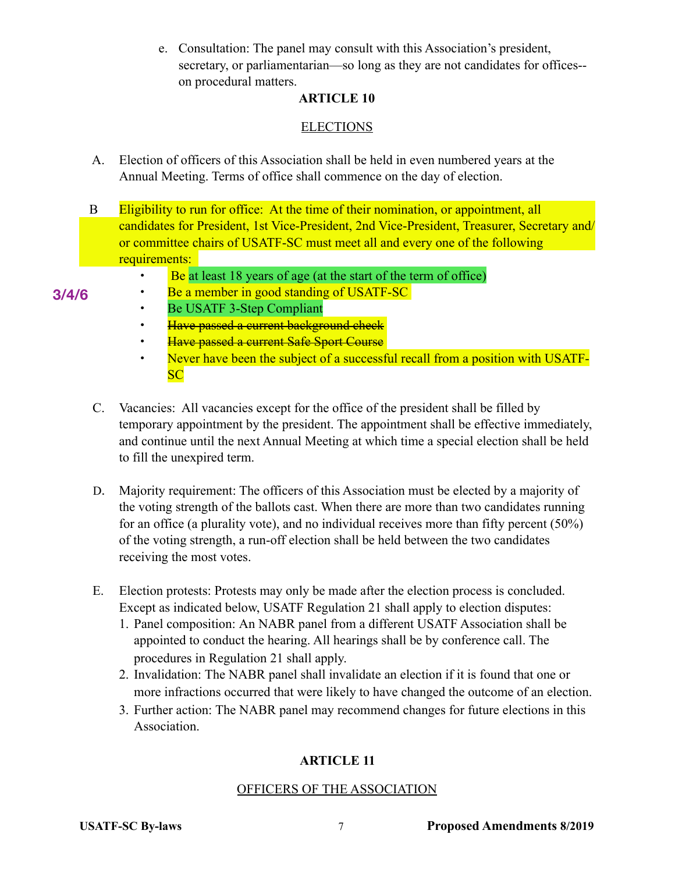e. Consultation: The panel may consult with this Association's president, secretary, or parliamentarian—so long as they are not candidates for offices- on procedural matters.

## **ARTICLE 10**

## **ELECTIONS**

- A. Election of officers of this Association shall be held in even numbered years at the Annual Meeting. Terms of office shall commence on the day of election.
- B Eligibility to run for office: At the time of their nomination, or appointment, all candidates for President, 1st Vice-President, 2nd Vice-President, Treasurer, Secretary and/ or committee chairs of USATF-SC must meet all and every one of the following requirements:
	- Be at least 18 years of age (at the start of the term of office)
- **3/4/6**
- Be a member in good standing of USATF-SC • Be USATF 3-Step Compliant
- Have passed a current background check
- Have passed a current Safe Sport Course
- Never have been the subject of a successful recall from a position with USATF-**SC**
- C. Vacancies: All vacancies except for the office of the president shall be filled by temporary appointment by the president. The appointment shall be effective immediately, and continue until the next Annual Meeting at which time a special election shall be held to fill the unexpired term.
- D. Majority requirement: The officers of this Association must be elected by a majority of the voting strength of the ballots cast. When there are more than two candidates running for an office (a plurality vote), and no individual receives more than fifty percent (50%) of the voting strength, a run-off election shall be held between the two candidates receiving the most votes.
- E. Election protests: Protests may only be made after the election process is concluded. Except as indicated below, USATF Regulation 21 shall apply to election disputes:
	- 1. Panel composition: An NABR panel from a different USATF Association shall be appointed to conduct the hearing. All hearings shall be by conference call. The procedures in Regulation 21 shall apply.
	- 2. Invalidation: The NABR panel shall invalidate an election if it is found that one or more infractions occurred that were likely to have changed the outcome of an election.
	- 3. Further action: The NABR panel may recommend changes for future elections in this Association.

## **ARTICLE 11**

## OFFICERS OF THE ASSOCIATION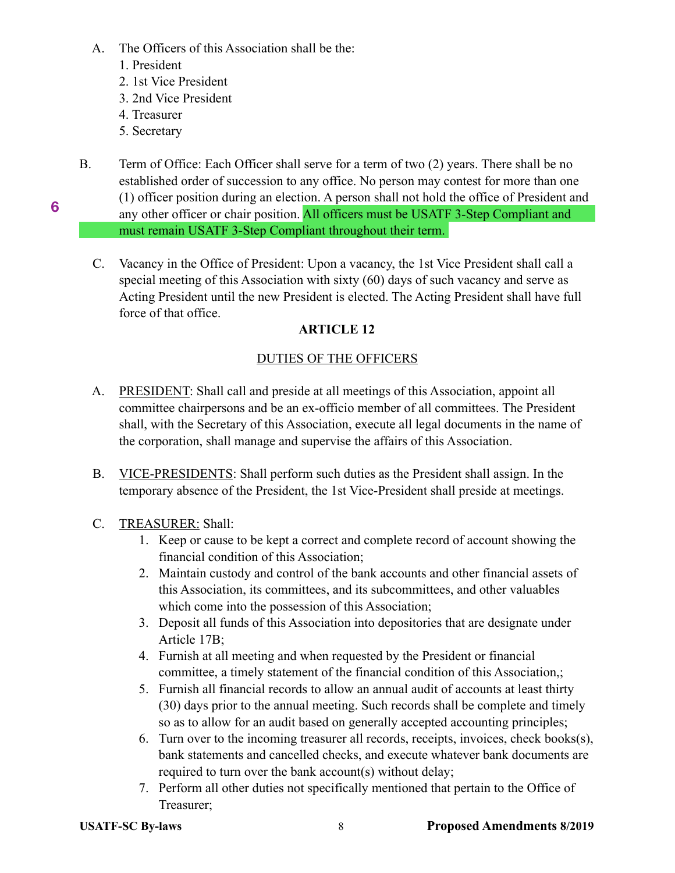- A. The Officers of this Association shall be the:
	- 1. President
	- 2. 1st Vice President
	- 3. 2nd Vice President
	- 4. Treasurer
	- 5. Secretary

**6**

B. Term of Office: Each Officer shall serve for a term of two (2) years. There shall be no established order of succession to any office. No person may contest for more than one (1) officer position during an election. A person shall not hold the office of President and

 any other officer or chair position. All officers must be USATF 3-Step Compliant and must remain USATF 3-Step Compliant throughout their term.

 C. Vacancy in the Office of President: Upon a vacancy, the 1st Vice President shall call a special meeting of this Association with sixty (60) days of such vacancy and serve as Acting President until the new President is elected. The Acting President shall have full force of that office.

## **ARTICLE 12**

## DUTIES OF THE OFFICERS

- A. PRESIDENT: Shall call and preside at all meetings of this Association, appoint all committee chairpersons and be an ex-officio member of all committees. The President shall, with the Secretary of this Association, execute all legal documents in the name of the corporation, shall manage and supervise the affairs of this Association.
- B. VICE-PRESIDENTS: Shall perform such duties as the President shall assign. In the temporary absence of the President, the 1st Vice-President shall preside at meetings.
- C. TREASURER: Shall:
	- 1. Keep or cause to be kept a correct and complete record of account showing the financial condition of this Association;
	- 2. Maintain custody and control of the bank accounts and other financial assets of this Association, its committees, and its subcommittees, and other valuables which come into the possession of this Association;
	- 3. Deposit all funds of this Association into depositories that are designate under Article 17B;
	- 4. Furnish at all meeting and when requested by the President or financial committee, a timely statement of the financial condition of this Association,;
	- 5. Furnish all financial records to allow an annual audit of accounts at least thirty (30) days prior to the annual meeting. Such records shall be complete and timely so as to allow for an audit based on generally accepted accounting principles;
	- 6. Turn over to the incoming treasurer all records, receipts, invoices, check books(s), bank statements and cancelled checks, and execute whatever bank documents are required to turn over the bank account(s) without delay;
	- 7. Perform all other duties not specifically mentioned that pertain to the Office of Treasurer;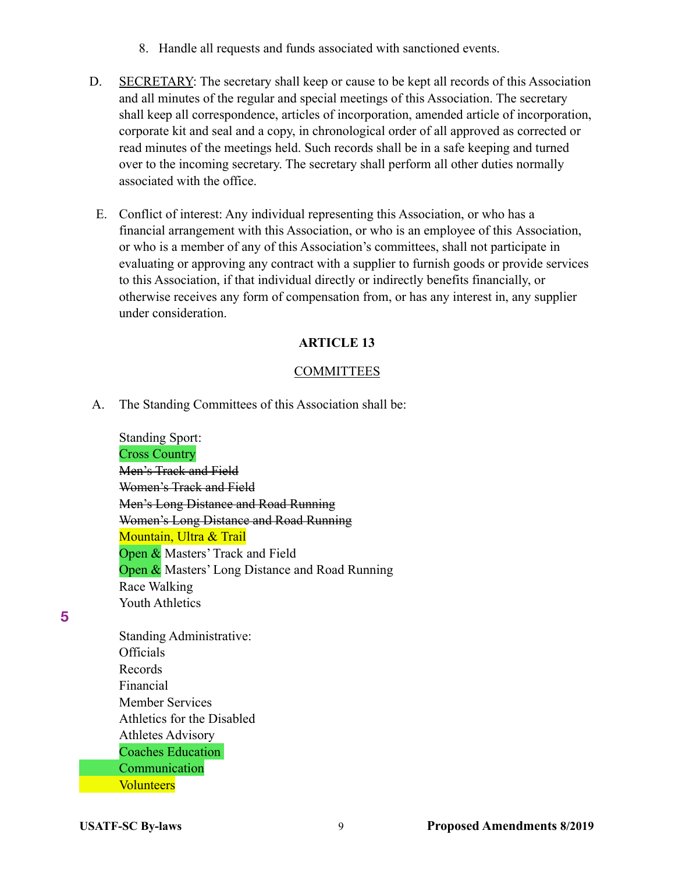- 8. Handle all requests and funds associated with sanctioned events.
- D. SECRETARY: The secretary shall keep or cause to be kept all records of this Association and all minutes of the regular and special meetings of this Association. The secretary shall keep all correspondence, articles of incorporation, amended article of incorporation, corporate kit and seal and a copy, in chronological order of all approved as corrected or read minutes of the meetings held. Such records shall be in a safe keeping and turned over to the incoming secretary. The secretary shall perform all other duties normally associated with the office.
- E. Conflict of interest: Any individual representing this Association, or who has a financial arrangement with this Association, or who is an employee of this Association, or who is a member of any of this Association's committees, shall not participate in evaluating or approving any contract with a supplier to furnish goods or provide services to this Association, if that individual directly or indirectly benefits financially, or otherwise receives any form of compensation from, or has any interest in, any supplier under consideration.

#### **COMMITTEES**

A. The Standing Committees of this Association shall be:

 Standing Sport: Cross Country Men's Track and Field Women's Track and Field Men's Long Distance and Road Running Women's Long Distance and Road Running Mountain, Ultra & Trail Open & Masters' Track and Field Open & Masters' Long Distance and Road Running Race Walking Youth Athletics

**5**

 Standing Administrative: **Officials**  Records Financial Member Services Athletics for the Disabled Athletes Advisory Coaches Education Communication **Volunteers**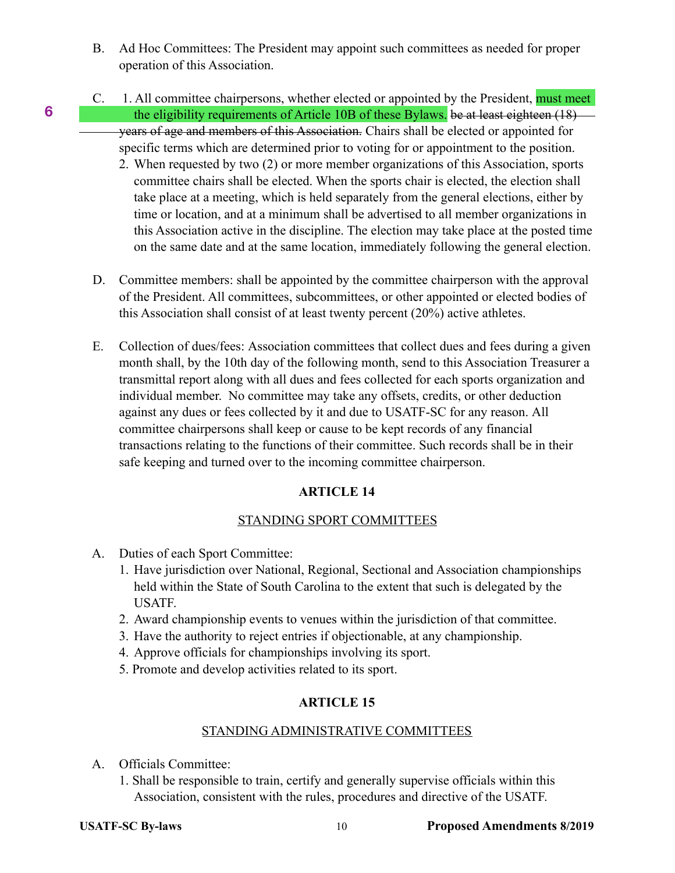- B. Ad Hoc Committees: The President may appoint such committees as needed for proper operation of this Association.
- C. 1. All committee chairpersons, whether elected or appointed by the President, **must meet** the eligibility requirements of Article 10B of these Bylaws. be at least eighteen (18) years of age and members of this Association. Chairs shall be elected or appointed for specific terms which are determined prior to voting for or appointment to the position.
	- 2. When requested by two (2) or more member organizations of this Association, sports committee chairs shall be elected. When the sports chair is elected, the election shall take place at a meeting, which is held separately from the general elections, either by time or location, and at a minimum shall be advertised to all member organizations in this Association active in the discipline. The election may take place at the posted time on the same date and at the same location, immediately following the general election.
- D. Committee members: shall be appointed by the committee chairperson with the approval of the President. All committees, subcommittees, or other appointed or elected bodies of this Association shall consist of at least twenty percent (20%) active athletes.
- E. Collection of dues/fees: Association committees that collect dues and fees during a given month shall, by the 10th day of the following month, send to this Association Treasurer a transmittal report along with all dues and fees collected for each sports organization and individual member. No committee may take any offsets, credits, or other deduction against any dues or fees collected by it and due to USATF-SC for any reason. All committee chairpersons shall keep or cause to be kept records of any financial transactions relating to the functions of their committee. Such records shall be in their safe keeping and turned over to the incoming committee chairperson.

## STANDING SPORT COMMITTEES

- A. Duties of each Sport Committee:
	- 1. Have jurisdiction over National, Regional, Sectional and Association championships held within the State of South Carolina to the extent that such is delegated by the USATF.
	- 2. Award championship events to venues within the jurisdiction of that committee.
	- 3. Have the authority to reject entries if objectionable, at any championship.
	- 4. Approve officials for championships involving its sport.
	- 5. Promote and develop activities related to its sport.

## **ARTICLE 15**

## STANDING ADMINISTRATIVE COMMITTEES

- A. Officials Committee:
	- 1. Shall be responsible to train, certify and generally supervise officials within this Association, consistent with the rules, procedures and directive of the USATF.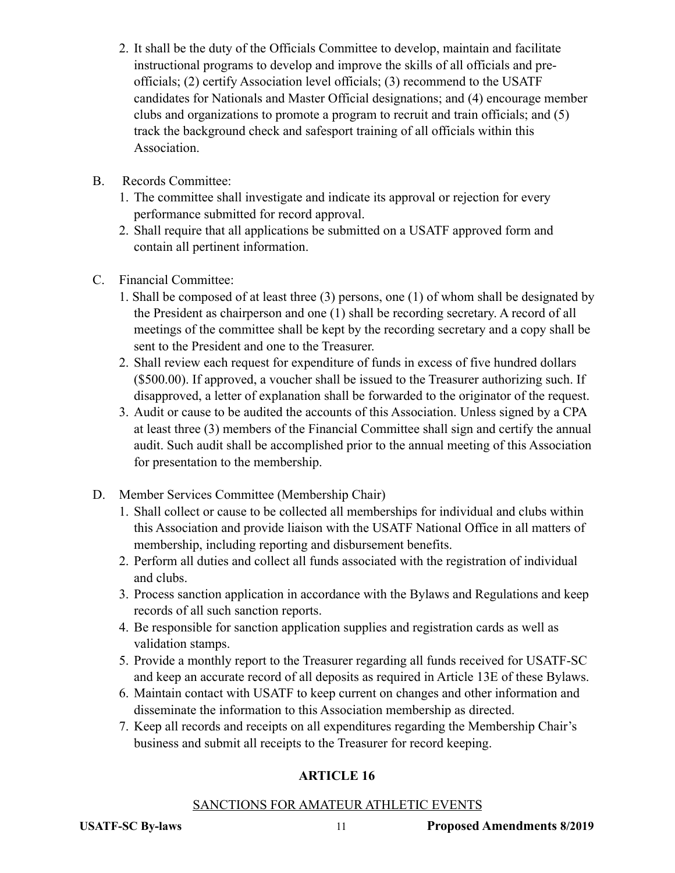- 2. It shall be the duty of the Officials Committee to develop, maintain and facilitate instructional programs to develop and improve the skills of all officials and pre officials; (2) certify Association level officials; (3) recommend to the USATF candidates for Nationals and Master Official designations; and (4) encourage member clubs and organizations to promote a program to recruit and train officials; and (5) track the background check and safesport training of all officials within this Association.
- B. Records Committee:
	- 1. The committee shall investigate and indicate its approval or rejection for every performance submitted for record approval.
	- 2. Shall require that all applications be submitted on a USATF approved form and contain all pertinent information.
- C. Financial Committee:
	- 1. Shall be composed of at least three (3) persons, one (1) of whom shall be designated by the President as chairperson and one (1) shall be recording secretary. A record of all meetings of the committee shall be kept by the recording secretary and a copy shall be sent to the President and one to the Treasurer.
	- 2. Shall review each request for expenditure of funds in excess of five hundred dollars (\$500.00). If approved, a voucher shall be issued to the Treasurer authorizing such. If disapproved, a letter of explanation shall be forwarded to the originator of the request.
	- 3. Audit or cause to be audited the accounts of this Association. Unless signed by a CPA at least three (3) members of the Financial Committee shall sign and certify the annual audit. Such audit shall be accomplished prior to the annual meeting of this Association for presentation to the membership.
- D. Member Services Committee (Membership Chair)
	- 1. Shall collect or cause to be collected all memberships for individual and clubs within this Association and provide liaison with the USATF National Office in all matters of membership, including reporting and disbursement benefits.
	- 2. Perform all duties and collect all funds associated with the registration of individual and clubs.
	- 3. Process sanction application in accordance with the Bylaws and Regulations and keep records of all such sanction reports.
	- 4. Be responsible for sanction application supplies and registration cards as well as validation stamps.
	- 5. Provide a monthly report to the Treasurer regarding all funds received for USATF-SC and keep an accurate record of all deposits as required in Article 13E of these Bylaws.
	- 6. Maintain contact with USATF to keep current on changes and other information and disseminate the information to this Association membership as directed.
	- 7. Keep all records and receipts on all expenditures regarding the Membership Chair's business and submit all receipts to the Treasurer for record keeping.

## SANCTIONS FOR AMATEUR ATHLETIC EVENTS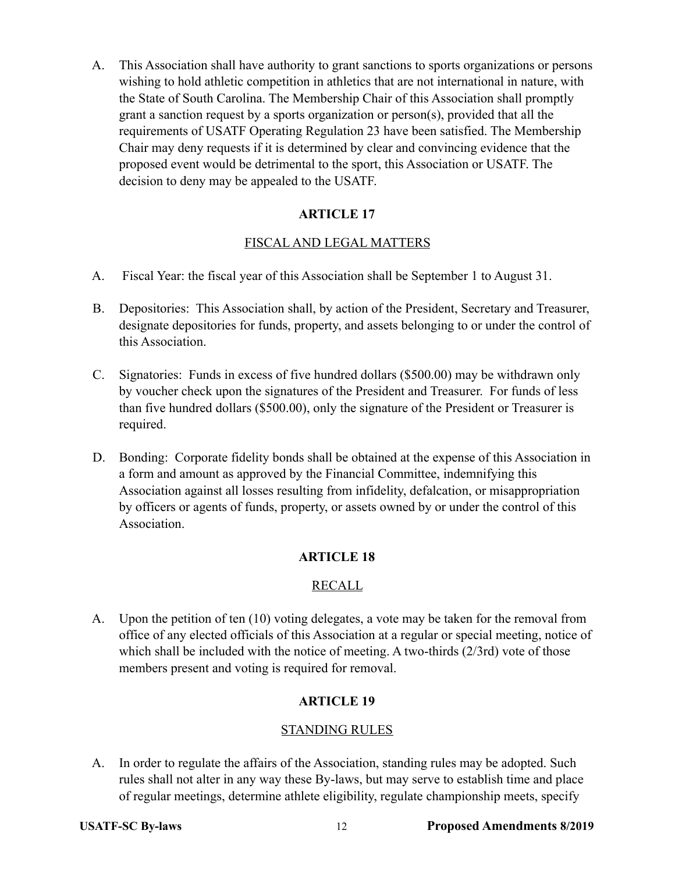A. This Association shall have authority to grant sanctions to sports organizations or persons wishing to hold athletic competition in athletics that are not international in nature, with the State of South Carolina. The Membership Chair of this Association shall promptly grant a sanction request by a sports organization or person(s), provided that all the requirements of USATF Operating Regulation 23 have been satisfied. The Membership Chair may deny requests if it is determined by clear and convincing evidence that the proposed event would be detrimental to the sport, this Association or USATF. The decision to deny may be appealed to the USATF.

## **ARTICLE 17**

## FISCAL AND LEGAL MATTERS

- A. Fiscal Year: the fiscal year of this Association shall be September 1 to August 31.
- B. Depositories: This Association shall, by action of the President, Secretary and Treasurer, designate depositories for funds, property, and assets belonging to or under the control of this Association.
- C. Signatories: Funds in excess of five hundred dollars (\$500.00) may be withdrawn only by voucher check upon the signatures of the President and Treasurer. For funds of less than five hundred dollars (\$500.00), only the signature of the President or Treasurer is required.
- D. Bonding: Corporate fidelity bonds shall be obtained at the expense of this Association in a form and amount as approved by the Financial Committee, indemnifying this Association against all losses resulting from infidelity, defalcation, or misappropriation by officers or agents of funds, property, or assets owned by or under the control of this Association.

## **ARTICLE 18**

## RECALL

 A. Upon the petition of ten (10) voting delegates, a vote may be taken for the removal from office of any elected officials of this Association at a regular or special meeting, notice of which shall be included with the notice of meeting. A two-thirds (2/3rd) vote of those members present and voting is required for removal.

## **ARTICLE 19**

## STANDING RULES

 A. In order to regulate the affairs of the Association, standing rules may be adopted. Such rules shall not alter in any way these By-laws, but may serve to establish time and place of regular meetings, determine athlete eligibility, regulate championship meets, specify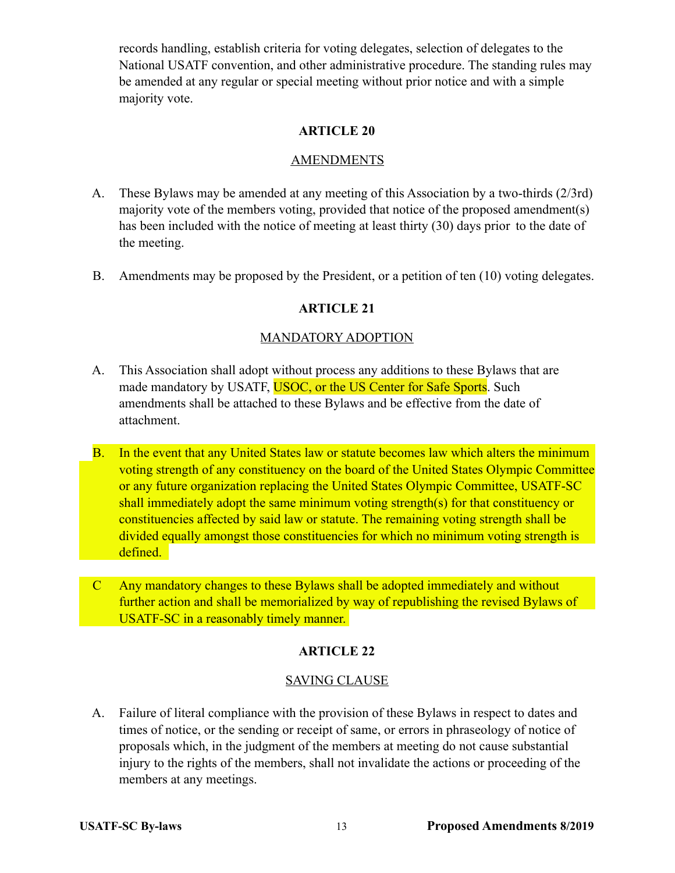records handling, establish criteria for voting delegates, selection of delegates to the National USATF convention, and other administrative procedure. The standing rules may be amended at any regular or special meeting without prior notice and with a simple majority vote.

## **ARTICLE 20**

#### **AMENDMENTS**

- A. These Bylaws may be amended at any meeting of this Association by a two-thirds (2/3rd) majority vote of the members voting, provided that notice of the proposed amendment(s) has been included with the notice of meeting at least thirty (30) days prior to the date of the meeting.
- B. Amendments may be proposed by the President, or a petition of ten (10) voting delegates.

### **ARTICLE 21**

#### MANDATORY ADOPTION

- A. This Association shall adopt without process any additions to these Bylaws that are made mandatory by USATF, USOC, or the US Center for Safe Sports. Such amendments shall be attached to these Bylaws and be effective from the date of attachment.
- B. In the event that any United States law or statute becomes law which alters the minimum voting strength of any constituency on the board of the United States Olympic Committee or any future organization replacing the United States Olympic Committee, USATF-SC shall immediately adopt the same minimum voting strength(s) for that constituency or constituencies affected by said law or statute. The remaining voting strength shall be divided equally amongst those constituencies for which no minimum voting strength is defined.
- C Any mandatory changes to these Bylaws shall be adopted immediately and without further action and shall be memorialized by way of republishing the revised Bylaws of USATF-SC in a reasonably timely manner.

#### **ARTICLE 22**

#### SAVING CLAUSE

 A. Failure of literal compliance with the provision of these Bylaws in respect to dates and times of notice, or the sending or receipt of same, or errors in phraseology of notice of proposals which, in the judgment of the members at meeting do not cause substantial injury to the rights of the members, shall not invalidate the actions or proceeding of the members at any meetings.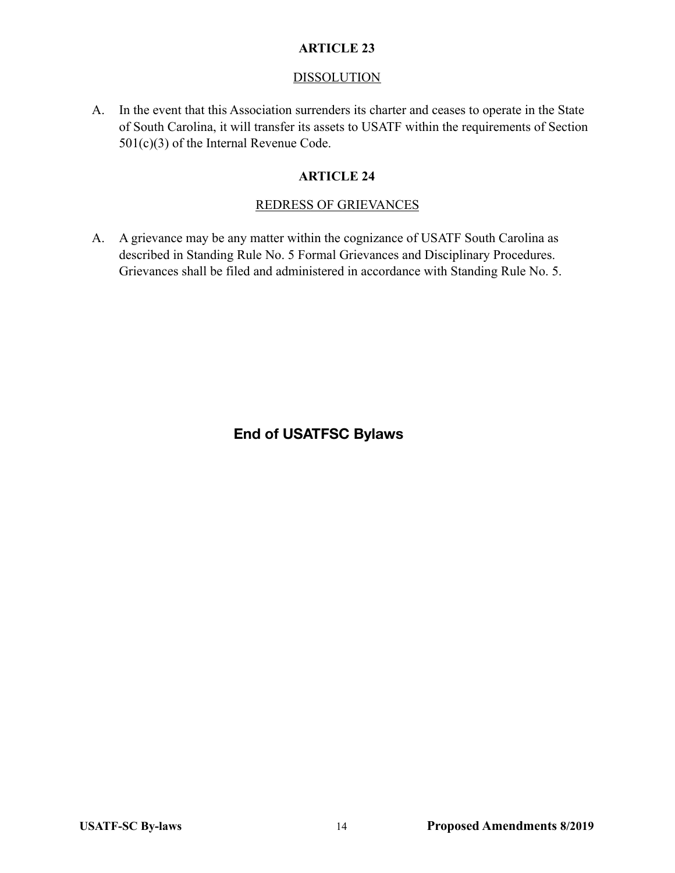### **DISSOLUTION**

 A. In the event that this Association surrenders its charter and ceases to operate in the State of South Carolina, it will transfer its assets to USATF within the requirements of Section 501(c)(3) of the Internal Revenue Code.

## **ARTICLE 24**

## REDRESS OF GRIEVANCES

 A. A grievance may be any matter within the cognizance of USATF South Carolina as described in Standing Rule No. 5 Formal Grievances and Disciplinary Procedures. Grievances shall be filed and administered in accordance with Standing Rule No. 5.

**End of USATFSC Bylaws**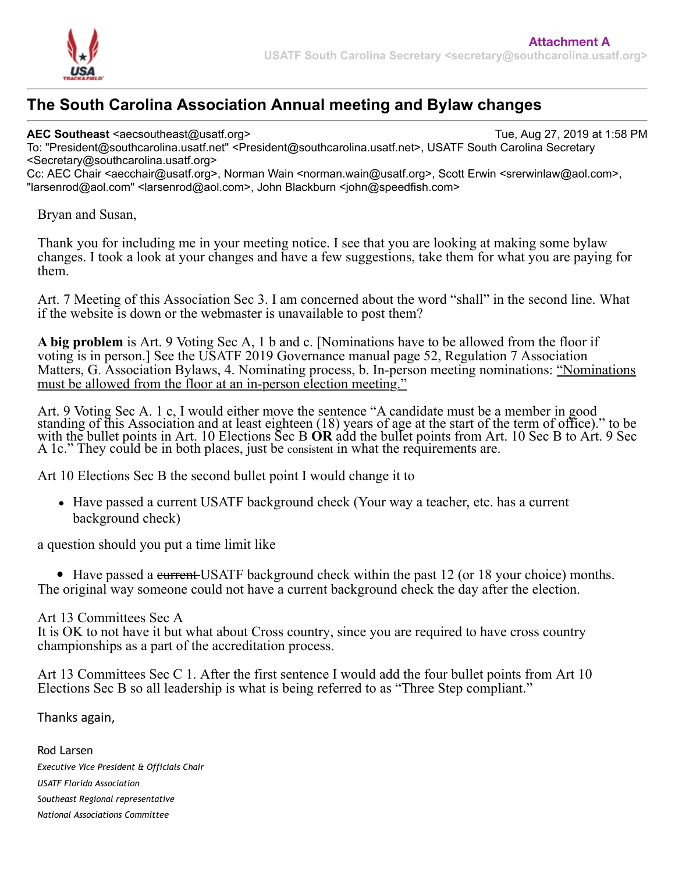

# **The South Carolina Association Annual meeting and Bylaw changes**

**AEC Southeast** <aecsoutheast@usatf.org> Tue, Aug 27, 2019 at 1:58 PM

To: "President@southcarolina.usatf.net" <President@southcarolina.usatf.net>, USATF South Carolina Secretary <Secretary@southcarolina.usatf.org>

Cc: AEC Chair <aecchair@usatf.org>, Norman Wain <norman.wain@usatf.org>, Scott Erwin <srerwinlaw@aol.com>, "larsenrod@aol.com" <larsenrod@aol.com>, John Blackburn <john@speedfish.com>

## Bryan and Susan,

Thank you for including me in your meeting notice. I see that you are looking at making some bylaw changes. I took a look at your changes and have a few suggestions, take them for what you are paying for them.

Art. 7 Meeting of this Association Sec 3. I am concerned about the word "shall" in the second line. What if the website is down or the webmaster is unavailable to post them?

**A big problem** is Art. 9 Voting Sec A, 1 b and c. [Nominations have to be allowed from the floor if voting is in person.] See the USATF 2019 Governance manual page 52, Regulation 7 Association Matters, G. Association Bylaws, 4. Nominating process, b. In-person meeting nominations: "Nominations must be allowed from the floor at an in-person election meeting."

Art. 9 Voting Sec A. 1 c, I would either move the sentence "A candidate must be a member in good standing of this Association and at least eighteen (18) years of age at the start of the term of office)." to be with the bullet points in Art. 10 Elections Sec B OR add the bullet points from Art. 10 Sec B to Art. 9 Sec A 1c." They could be in both places, just be consistent in what the requirements are.

Art 10 Elections Sec B the second bullet point I would change it to

Have passed a current USATF background check (Your way a teacher, etc. has a current background check)

a question should you put a time limit like

• Have passed a current USATF background check within the past 12 (or 18 your choice) months. The original way someone could not have a current background check the day after the election.

## Art 13 Committees Sec A

It is OK to not have it but what about Cross country, since you are required to have cross country championships as a part of the accreditation process.

Art 13 Committees Sec C 1. After the first sentence I would add the four bullet points from Art 10 Elections Sec B so all leadership is what is being referred to as "Three Step compliant."

Thanks again,

Rod Larsen *Executive Vice President & Officials Chair USATF Florida Association Southeast Regional representative National Associations Committee*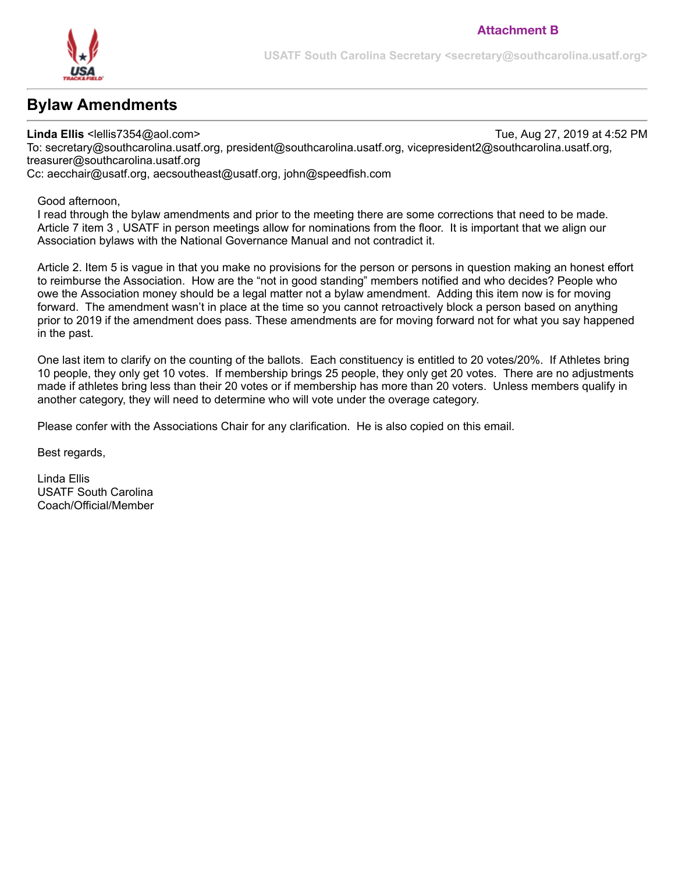

# **Bylaw Amendments**

**Linda Ellis** <lellis7354@aol.com> Tue, Aug 27, 2019 at 4:52 PM To: secretary@southcarolina.usatf.org, president@southcarolina.usatf.org, vicepresident2@southcarolina.usatf.org, treasurer@southcarolina.usatf.org

Cc: aecchair@usatf.org, aecsoutheast@usatf.org, john@speedfish.com

Good afternoon,

I read through the bylaw amendments and prior to the meeting there are some corrections that need to be made. Article 7 item 3 , USATF in person meetings allow for nominations from the floor. It is important that we align our Association bylaws with the National Governance Manual and not contradict it.

Article 2. Item 5 is vague in that you make no provisions for the person or persons in question making an honest effort to reimburse the Association. How are the "not in good standing" members notified and who decides? People who owe the Association money should be a legal matter not a bylaw amendment. Adding this item now is for moving forward. The amendment wasn't in place at the time so you cannot retroactively block a person based on anything prior to 2019 if the amendment does pass. These amendments are for moving forward not for what you say happened in the past.

One last item to clarify on the counting of the ballots. Each constituency is entitled to 20 votes/20%. If Athletes bring 10 people, they only get 10 votes. If membership brings 25 people, they only get 20 votes. There are no adjustments made if athletes bring less than their 20 votes or if membership has more than 20 voters. Unless members qualify in another category, they will need to determine who will vote under the overage category.

Please confer with the Associations Chair for any clarification. He is also copied on this email.

Best regards,

Linda Ellis USATF South Carolina Coach/Official/Member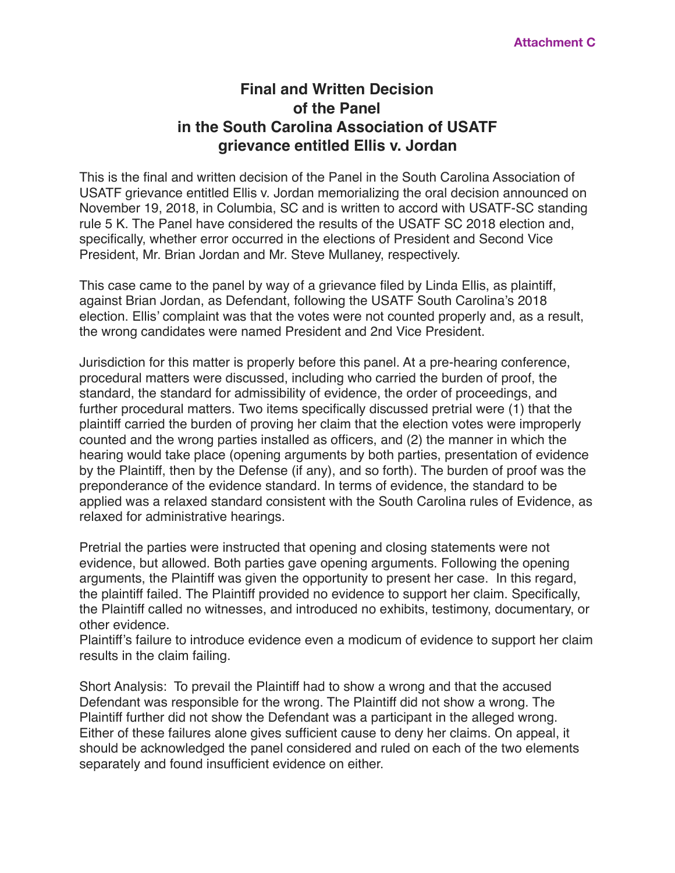# **Final and Written Decision of the Panel in the South Carolina Association of USATF grievance entitled Ellis v. Jordan**

This is the final and written decision of the Panel in the South Carolina Association of USATF grievance entitled Ellis v. Jordan memorializing the oral decision announced on November 19, 2018, in Columbia, SC and is written to accord with USATF-SC standing rule 5 K. The Panel have considered the results of the USATF SC 2018 election and, specifically, whether error occurred in the elections of President and Second Vice President, Mr. Brian Jordan and Mr. Steve Mullaney, respectively.

This case came to the panel by way of a grievance filed by Linda Ellis, as plaintiff, against Brian Jordan, as Defendant, following the USATF South Carolina's 2018 election. Ellis' complaint was that the votes were not counted properly and, as a result, the wrong candidates were named President and 2nd Vice President.

Jurisdiction for this matter is properly before this panel. At a pre-hearing conference, procedural matters were discussed, including who carried the burden of proof, the standard, the standard for admissibility of evidence, the order of proceedings, and further procedural matters. Two items specifically discussed pretrial were (1) that the plaintiff carried the burden of proving her claim that the election votes were improperly counted and the wrong parties installed as officers, and (2) the manner in which the hearing would take place (opening arguments by both parties, presentation of evidence by the Plaintiff, then by the Defense (if any), and so forth). The burden of proof was the preponderance of the evidence standard. In terms of evidence, the standard to be applied was a relaxed standard consistent with the South Carolina rules of Evidence, as relaxed for administrative hearings.

Pretrial the parties were instructed that opening and closing statements were not evidence, but allowed. Both parties gave opening arguments. Following the opening arguments, the Plaintiff was given the opportunity to present her case. In this regard, the plaintiff failed. The Plaintiff provided no evidence to support her claim. Specifically, the Plaintiff called no witnesses, and introduced no exhibits, testimony, documentary, or other evidence.

Plaintiff's failure to introduce evidence even a modicum of evidence to support her claim results in the claim failing.

Short Analysis: To prevail the Plaintiff had to show a wrong and that the accused Defendant was responsible for the wrong. The Plaintiff did not show a wrong. The Plaintiff further did not show the Defendant was a participant in the alleged wrong. Either of these failures alone gives sufficient cause to deny her claims. On appeal, it should be acknowledged the panel considered and ruled on each of the two elements separately and found insufficient evidence on either.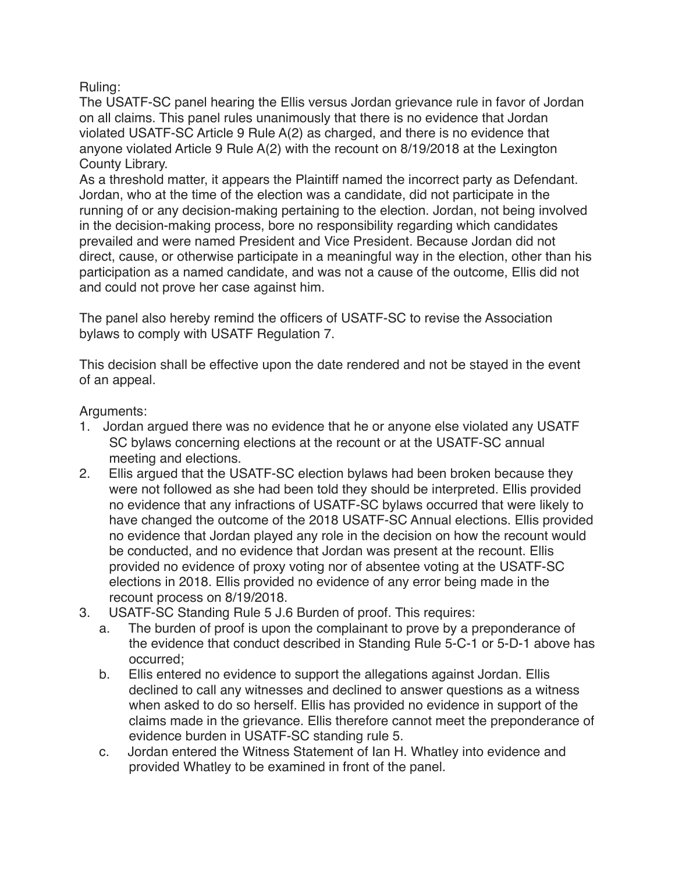Ruling:

The USATF-SC panel hearing the Ellis versus Jordan grievance rule in favor of Jordan on all claims. This panel rules unanimously that there is no evidence that Jordan violated USATF-SC Article 9 Rule A(2) as charged, and there is no evidence that anyone violated Article 9 Rule A(2) with the recount on 8/19/2018 at the Lexington County Library.

As a threshold matter, it appears the Plaintiff named the incorrect party as Defendant. Jordan, who at the time of the election was a candidate, did not participate in the running of or any decision-making pertaining to the election. Jordan, not being involved in the decision-making process, bore no responsibility regarding which candidates prevailed and were named President and Vice President. Because Jordan did not direct, cause, or otherwise participate in a meaningful way in the election, other than his participation as a named candidate, and was not a cause of the outcome, Ellis did not and could not prove her case against him.

The panel also hereby remind the officers of USATF-SC to revise the Association bylaws to comply with USATF Regulation 7.

This decision shall be effective upon the date rendered and not be stayed in the event of an appeal.

Arguments:

- 1. Jordan argued there was no evidence that he or anyone else violated any USATF SC bylaws concerning elections at the recount or at the USATF-SC annual meeting and elections.
- 2. Ellis argued that the USATF-SC election bylaws had been broken because they were not followed as she had been told they should be interpreted. Ellis provided no evidence that any infractions of USATF-SC bylaws occurred that were likely to have changed the outcome of the 2018 USATF-SC Annual elections. Ellis provided no evidence that Jordan played any role in the decision on how the recount would be conducted, and no evidence that Jordan was present at the recount. Ellis provided no evidence of proxy voting nor of absentee voting at the USATF-SC elections in 2018. Ellis provided no evidence of any error being made in the recount process on 8/19/2018.
- 3. USATF-SC Standing Rule 5 J.6 Burden of proof. This requires:
	- a. The burden of proof is upon the complainant to prove by a preponderance of the evidence that conduct described in Standing Rule 5-C-1 or 5-D-1 above has occurred;
	- b. Ellis entered no evidence to support the allegations against Jordan. Ellis declined to call any witnesses and declined to answer questions as a witness when asked to do so herself. Ellis has provided no evidence in support of the claims made in the grievance. Ellis therefore cannot meet the preponderance of evidence burden in USATF-SC standing rule 5.
	- c. Jordan entered the Witness Statement of Ian H. Whatley into evidence and provided Whatley to be examined in front of the panel.